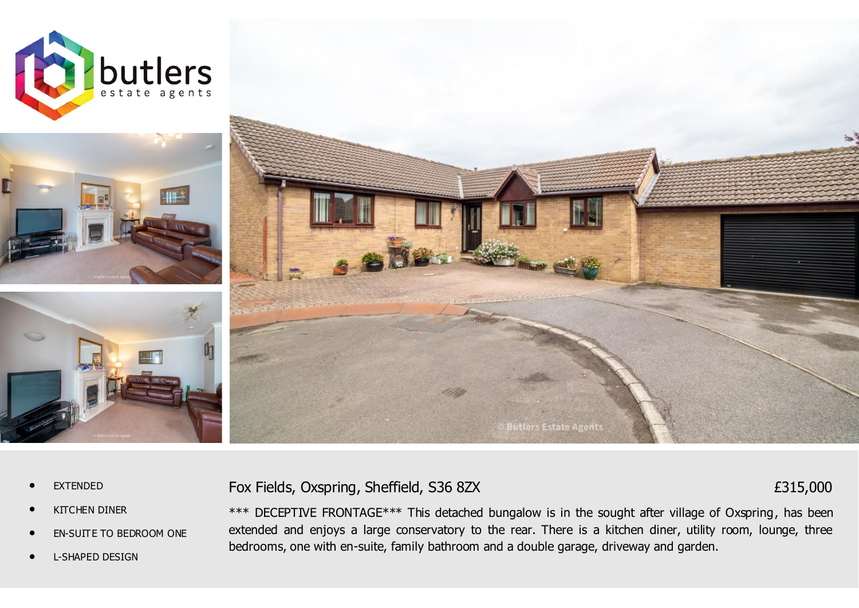







- *•* EXTENDED
- *•* KITCHEN DINER
- *•* EN-SUITE TO BEDROOM ONE
- *•* L-SHAPED DESIGN

Fox Fields, Oxspring, Sheffield, S36 8ZX

£315,000

\*\*\* DECEPTIVE FRONTAGE\*\*\* This detached bungalow is in the sought after village of Oxspring, has been extended and enjoys a large conservatory to the rear. There is a kitchen diner, utility room, lounge, three bedrooms, one with en-suite, family bathroom and a double garage, driveway and garden.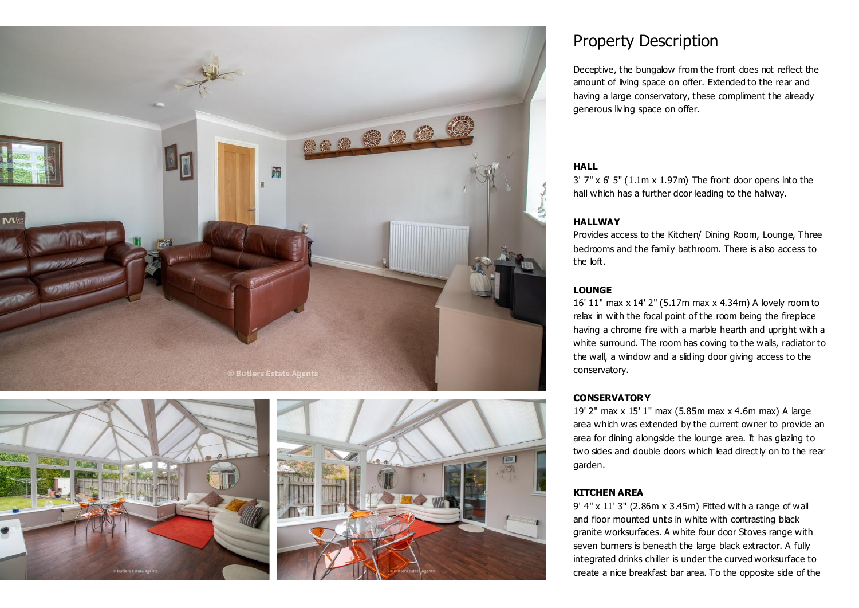





# Property Description

Deceptive, the bungalow from the front does not reflect the amount of living space on offer. Extended to the rear and having a large conservatory, these compliment the already generous living space on offer.

#### **HALL**

3' 7" x 6' 5" (1.1m x 1.97m) The front door opens into the hall which has a further door leading to the hallway.

#### **HALLWAY**

Provides access to the Kitchen/ Dining Room, Lounge, Three bedrooms and the family bathroom. There is also access to the loft.

#### **LOUNGE**

16' 11" max x 14' 2" (5.17m max x 4.34m) A lovely room to relax in with the focal point of the room being the fireplace having a chrome fire with a marble hearth and upright with a white surround. The room has coving to the walls, radiator to the wall, a window and a sliding door giving access to the conservatory.

#### **CONSERVATORY**

19' 2" max x 15' 1" max (5.85m max x 4.6m max) A large area which was extended by the current owner to provide an area for dining alongside the lounge area. It has glazing to two sides and double doors which lead directly on to the rear garden.

#### **KITCHEN AREA**

9' 4" x 11' 3" (2.86m x 3.45m) Fitted with a range of wall and floor mounted units in white with contrasting black granite worksurfaces. A white four door Stoves range with seven burners is beneath the large black extractor. A fully integrated drinks chiller is under the curved worksurface to create a nice breakfast bar area. To the opposite side of the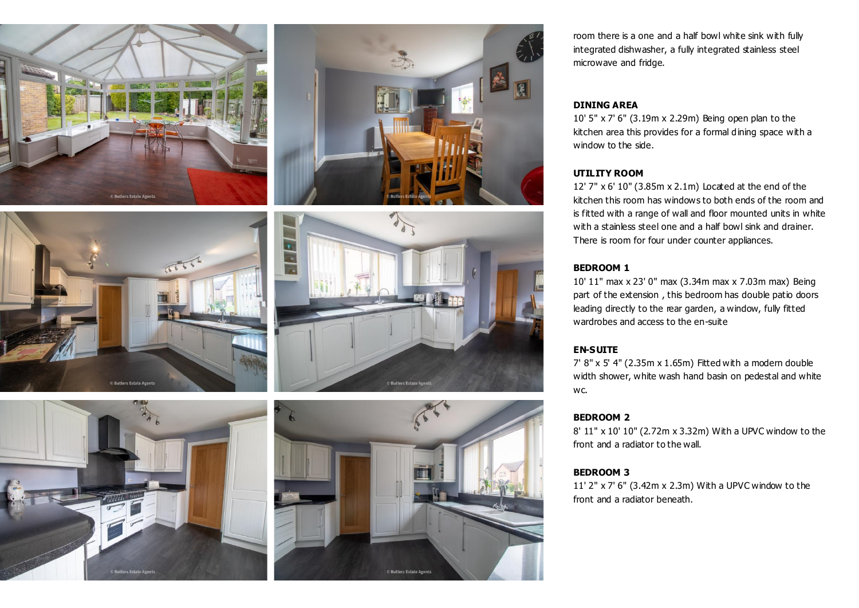







room there is a one and a half bowl white sink with fully integrated dishwasher, a fully integrated stainless steel microwave and fridge.

#### **DINING AREA**

10' 5" x 7' 6" (3.19m x 2.29m) Being open plan to the kitchen area this provides for a formal dining space with a window to the side.

#### **UTILITY ROOM**

12' 7" x 6' 10" (3.85m x 2.1m) Located at the end of the kitchen this room has windows to both ends of the room and is fitted with a range of wall and floor mounted units in white with a stainless steel one and a half bowl sink and drainer. There is room for four under counter appliances.

### **BEDROOM 1**

10' 11" max x 23' 0" max (3.34m max x 7.03m max) Being part of the extension , this bedroom has double patio doors leading directly to the rear garden, a window, fully fitted wardrobes and access to the en-suite

#### **EN-SUITE**

7' 8" x 5' 4" (2.35m x 1.65m) Fitted with a modern double width shower, white wash hand basin on pedestal and white wc.

#### **BEDROOM 2**

8' 11" x 10' 10" (2.72m x 3.32m) With a UPVC window to the front and a radiator to the wall.

#### **BEDROOM 3**

11' 2" x 7' 6" (3.42m x 2.3m) With a UPVC window to the front and a radiator beneath.